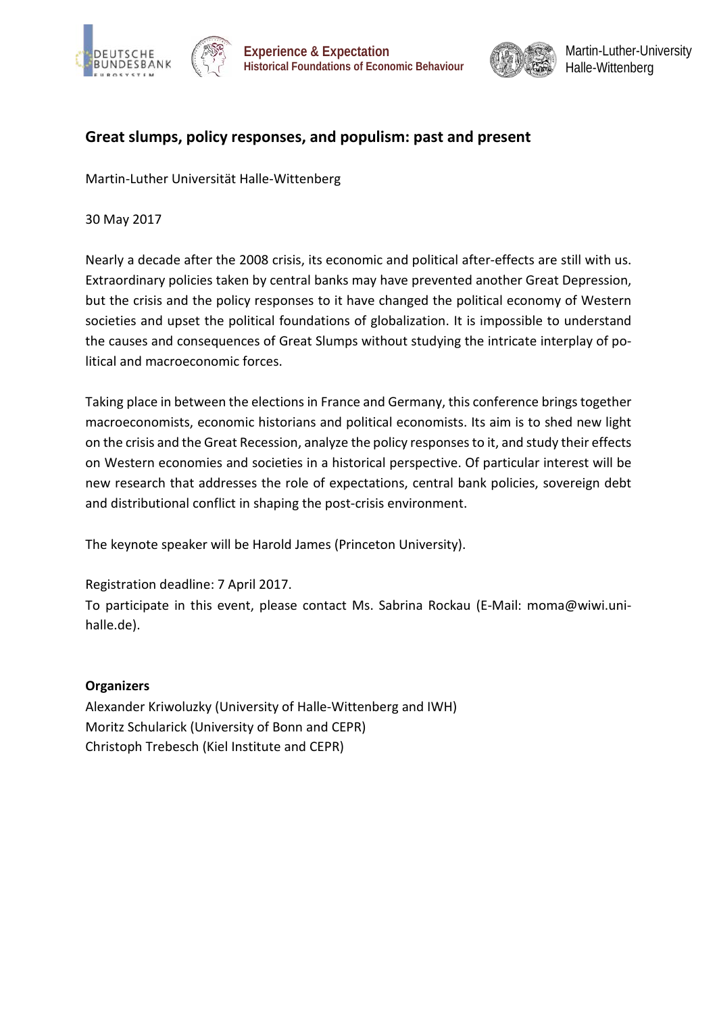





# **Great slumps, policy responses, and populism: past and present**

Martin-Luther Universität Halle-Wittenberg

30 May 2017

Nearly a decade after the 2008 crisis, its economic and political after-effects are still with us. Extraordinary policies taken by central banks may have prevented another Great Depression, but the crisis and the policy responses to it have changed the political economy of Western societies and upset the political foundations of globalization. It is impossible to understand the causes and consequences of Great Slumps without studying the intricate interplay of political and macroeconomic forces.

Taking place in between the elections in France and Germany, this conference brings together macroeconomists, economic historians and political economists. Its aim is to shed new light on the crisis and the Great Recession, analyze the policy responses to it, and study their effects on Western economies and societies in a historical perspective. Of particular interest will be new research that addresses the role of expectations, central bank policies, sovereign debt and distributional conflict in shaping the post-crisis environment.

The keynote speaker will be Harold James (Princeton University).

Registration deadline: 7 April 2017.

To participate in this event, please contact Ms. Sabrina Rockau (E-Mail: moma@wiwi.unihalle.de).

# **Organizers**

Alexander Kriwoluzky (University of Halle-Wittenberg and IWH) Moritz Schularick (University of Bonn and CEPR) Christoph Trebesch (Kiel Institute and CEPR)